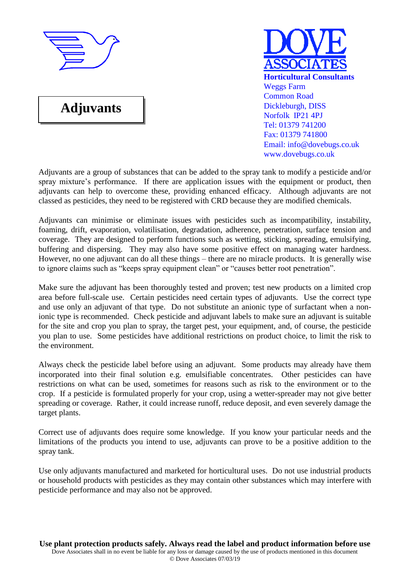

# **Adjuvants**



Adjuvants are a group of substances that can be added to the spray tank to modify a pesticide and/or spray mixture's performance. If there are application issues with the equipment or product, then adjuvants can help to overcome these, providing enhanced efficacy. Although adjuvants are not classed as pesticides, they need to be registered with CRD because they are modified chemicals.

Adjuvants can minimise or eliminate issues with pesticides such as incompatibility, instability, foaming, drift, evaporation, volatilisation, degradation, adherence, penetration, surface tension and coverage. They are designed to perform functions such as wetting, sticking, spreading, emulsifying, buffering and dispersing. They may also have some positive effect on managing water hardness. However, no one adjuvant can do all these things – there are no miracle products. It is generally wise to ignore claims such as "keeps spray equipment clean" or "causes better root penetration".

Make sure the adjuvant has been thoroughly tested and proven; test new products on a limited crop area before full-scale use. Certain pesticides need certain types of adjuvants. Use the correct type and use only an adjuvant of that type. Do not substitute an anionic type of surfactant when a nonionic type is recommended. Check pesticide and adjuvant labels to make sure an adjuvant is suitable for the site and crop you plan to spray, the target pest, your equipment, and, of course, the pesticide you plan to use. Some pesticides have additional restrictions on product choice, to limit the risk to the environment.

Always check the pesticide label before using an adjuvant. Some products may already have them incorporated into their final solution e.g. emulsifiable concentrates. Other pesticides can have restrictions on what can be used, sometimes for reasons such as risk to the environment or to the crop. If a pesticide is formulated properly for your crop, using a wetter-spreader may not give better spreading or coverage. Rather, it could increase runoff, reduce deposit, and even severely damage the target plants.

Correct use of adjuvants does require some knowledge. If you know your particular needs and the limitations of the products you intend to use, adjuvants can prove to be a positive addition to the spray tank.

Use only adjuvants manufactured and marketed for horticultural uses. Do not use industrial products or household products with pesticides as they may contain other substances which may interfere with pesticide performance and may also not be approved.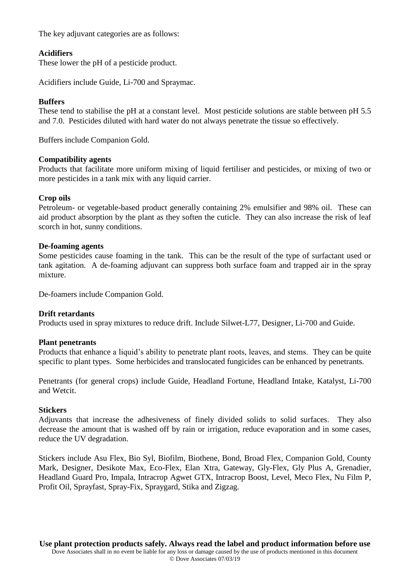The key adjuvant categories are as follows:

# **Acidifiers**

These lower the pH of a pesticide product.

Acidifiers include Guide, Li-700 and Spraymac.

## **Buffers**

These tend to stabilise the pH at a constant level. Most pesticide solutions are stable between pH 5.5 and 7.0. Pesticides diluted with hard water do not always penetrate the tissue so effectively.

Buffers include Companion Gold.

## **Compatibility agents**

Products that facilitate more uniform mixing of liquid fertiliser and pesticides, or mixing of two or more pesticides in a tank mix with any liquid carrier.

## **Crop oils**

Petroleum- or vegetable-based product generally containing 2% emulsifier and 98% oil. These can aid product absorption by the plant as they soften the cuticle. They can also increase the risk of leaf scorch in hot, sunny conditions.

## **De-foaming agents**

Some pesticides cause foaming in the tank. This can be the result of the type of surfactant used or tank agitation. A de-foaming adjuvant can suppress both surface foam and trapped air in the spray mixture.

De-foamers include Companion Gold.

# **Drift retardants**

Products used in spray mixtures to reduce drift. Include Silwet-L77, Designer, Li-700 and Guide.

## **Plant penetrants**

Products that enhance a liquid's ability to penetrate plant roots, leaves, and stems. They can be quite specific to plant types. Some herbicides and translocated fungicides can be enhanced by penetrants.

Penetrants (for general crops) include Guide, Headland Fortune, Headland Intake, Katalyst, Li-700 and Wetcit.

## **Stickers**

Adjuvants that increase the adhesiveness of finely divided solids to solid surfaces. They also decrease the amount that is washed off by rain or irrigation, reduce evaporation and in some cases, reduce the UV degradation.

Stickers include Asu Flex, Bio Syl, Biofilm, Biothene, Bond, Broad Flex, Companion Gold, County Mark, Designer, Desikote Max, Eco-Flex, Elan Xtra, Gateway, Gly-Flex, Gly Plus A, Grenadier, Headland Guard Pro, Impala, Intracrop Agwet GTX, Intracrop Boost, Level, Meco Flex, Nu Film P, Profit Oil, Sprayfast, Spray-Fix, Spraygard, Stika and Zigzag.